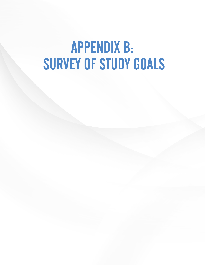# APPENDIX B: SURVEY OF STUDY GOALS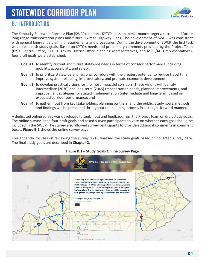

### B.1 INTRODUCTION

The Kentucky Statewide Corridor Plan (SWCP) supports KYTC's mission, performance targets, current and future long-range transportation plans and future Six-Year Highway Plans. The development of SWCP was consistent with general long-range planning requirements and procedures. During the development of SWCP, the first task was to establish study goals. Based on KYTC's needs and preliminary comments provided by the Project Team (KYTC Central Office, KYTC Highway District Office planning representatives, and MPO/ADD representatives), four draft goals were established:

- **Goal #1:** To identify current and future statewide needs in terms of corridor performance including mobility, accessibility, and safety;
- **Goal #2**: To prioritize statewide and regional corridors with the greatest potential to reduce travel time, improve system reliability, improve safety, and promote economic development;
- **Goal #3:** To develop practical visions for the most impactful corridors. These visions will identify intermediate (2030) and long-term (2045) transportation needs, planned improvements, and improvement strategies for staged implementation (intermediate and long-term) based on expected corridor performance; and
- **Goal #4:** To gather input from key stakeholders, planning partners, and the public. Study goals, methods, and findings will be presented throughout the planning process in a straight-forward manner.

A dedicated online survey was developed to seek input and feedback from the Project Team on draft study goals. The online survey listed four draft goals and asked survey participants to vote on whether each goal should be included in the SWCP. The survey also allowed survey participants to provide additional comments in comment boxes. **Figure B.1** shows the online survey page.

This appendix focuses on reviewing the survey. KYTC finalized the study goals based on collected survey data. The final study goals are described in **Chapter 2**.



#### **Figure B.1 – Study Goals Online Survey Page**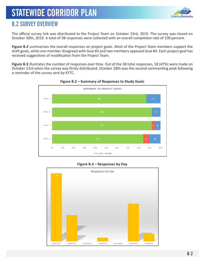

### B.2 SURVEY OVERVIEW

The official survey link was distributed to the Project Team on October 23rd, 2019. The survey was closed on October 30th, 2019. A total of 38 responses were collected with an overall completion rate of 100 percent.

**Figure B.2** summarizes the overall responses on project goals. Most of the Project Team members support the draft goals, while one member disagreed with Goal #3 and two members opposed Goal #4. Each project goal has received suggestions of modification from the Project Team.

**Figure B.3** illustrates the number of responses over time. Out of the 38 total responses, 18 (47%) were made on October 23rd when the survey was firstly distributed. October 28th was the second commenting peak following a reminder of the survey sent by KYTC.





#### **Figure B.3 – Responses by Day**

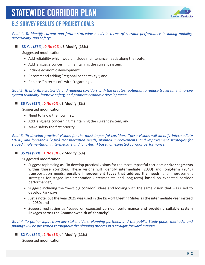

### B.3 SURVEY RESULTS OF PROJECT GOALS

*Goal 1. To identify current and future statewide needs in terms of corridor performance including mobility, accessibility, and safety:* 

#### **33 Yes (87%), 0 No (0%), 5 Modify (13%)**

Suggested modification:

- Add reliability which would include maintenance needs along the route.;
- Add language concerning maintaining the current system;
- Include economic development;
- Recommend adding "regional connectivity"; and
- Replace "in terms of" with "regarding".

#### *Goal 2. To prioritize statewide and regional corridors with the greatest potential to reduce travel time, improve system reliability, improve safety, and promote economic development:*

#### **35 Yes (92%), 0 No (0%), 3 Modify (8%)**

Suggested modification:

- Need to know the how first;
- Add language concerning maintaining the current system; and
- Make safety the first priority.

*Goal 3. To develop practical visions for the most impactful corridors. These visions will identify intermediate (2030) and long-term (2045) transportation needs, planned improvements, and improvement strategies for staged implementation (intermediate and long-term) based on expected corridor performance:* 

#### **35 Yes (92%), 1 No (3%), 2 Modify (5%)**

Suggested modification:

- Suggest rephrasing as "To develop practical visions for the most impactful corridors **and/or segments within those corridors.** These visions will identify intermediate (2030) and long-term (2045) transportation needs, **possible improvement types that address the needs**, and improvement strategies for staged implementation (intermediate and long-term) based on expected corridor performance";
- Suggest including the "next big corridor" ideas and looking with the same vision that was used to develop Parkways;
- Just a note, but the year 2025 was used in the Kick-off Meeting Slides as the intermediate year instead of 2030; and
- Suggest rephrasing as "based on expected corridor performance **and providing suitable system linkages across the Commonwealth of Kentucky**".

*Goal 4. To gather input from key stakeholders, planning partners, and the public. Study goals, methods, and findings will be presented throughout the planning process in a straight-forward manner:* 

**32 Yes (84%), 2 No (5%), 4 Modify (11%)**

Suggested modification: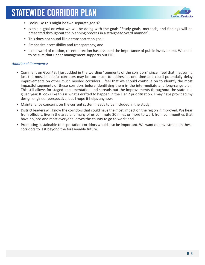

- Looks like this might be two separate goals?
- Is this a goal or what we will be doing with the goals "Study goals, methods, and findings will be presented throughout the planning process in a straight-forward manner";
- This does not sound like a transportation goal;
- Emphasize accessibility and transparency; and
- Just a word of caution, recent direction has lessened the importance of public involvement. We need to be sure that upper management supports out PIP.

#### *Additional Comments:*

- Comment on Goal #3: I just added in the wording "segments of the corridors" since I feel that measuring just the most impactful corridors may be too much to address at one time and could potentially delay improvements on other much needed corridors. I feel that we should continue on to identify the most impactful segments of these corridors before identifying them in the intermediate and long-range plan. This still allows for staged implementation and spreads out the improvements throughout the state in a given year. It looks like this is what's drafted to happen in the Tier 2 prioritization. I may have provided my design engineer perspective, but I hope it helps anyhow;
- Maintenance concerns on the current system needs to be included in the study;
- District leaders will know the corridors that could have the most impact on the region if improved. We hear from officials, live in the area and many of us commute 30 miles or more to work from communities that have no jobs and most everyone leaves the county to go to work; and
- Promoting sustainable transportation corridors would also be important. We want our investment in these corridors to last beyond the foreseeable future.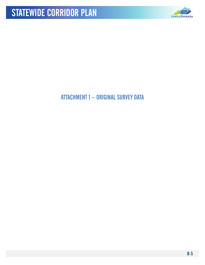

### ATTACHMENT 1 – ORIGINAL SURVEY DATA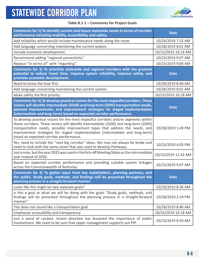

#### **Table B.1-1 – Comments for Project Goals**

| Comments for 1) To identify current and future statewide needs in terms of corridor<br>performance including mobility, accessibility, and safety.                                                                                                                                                                                                                                         | <b>Date</b>         |
|-------------------------------------------------------------------------------------------------------------------------------------------------------------------------------------------------------------------------------------------------------------------------------------------------------------------------------------------------------------------------------------------|---------------------|
| Add reliability which would include maintenance needs along the route.                                                                                                                                                                                                                                                                                                                    | 10/29/2019 7:32 AM  |
| Add language concerning maintaining the current system.                                                                                                                                                                                                                                                                                                                                   | 10/28/2019 8:01 AM  |
| Include economic development.                                                                                                                                                                                                                                                                                                                                                             | 10/23/2019 10:18 AM |
| Recommend adding "regional connectivity".                                                                                                                                                                                                                                                                                                                                                 | 10/23/2019 9:07 AM  |
| Replace "in terms of" with "regarding".                                                                                                                                                                                                                                                                                                                                                   | 10/23/2019 9:06 AM  |
| Comments for 2) To prioritize statewide and regional corridors with the greatest<br>potential to reduce travel time, improve system reliability, improve safety, and<br>promote economic development.                                                                                                                                                                                     | <b>Date</b>         |
| Need to know the how first.                                                                                                                                                                                                                                                                                                                                                               | 10/28/2019 8:40 AM  |
| Add language concerning maintaining the current system.                                                                                                                                                                                                                                                                                                                                   | 10/28/2019 8:01 AM  |
| Make safety the first priority.                                                                                                                                                                                                                                                                                                                                                           | 10/23/2019 10:18 AM |
| Comments for 3) To develop practical visions for the most impactful corridors. These<br>visions will identify intermediate (2030) and long-term (2045) transportation needs,<br>planned improvements, and improvement strategies for staged implementation<br>(intermediate and long-term) based on expected corridor performance.                                                        | <b>Date</b>         |
| To develop practical visions for the most impactful corridors and/or segments within<br>those corridors. These visions will identify intermediate (2030) and long-term (2045)<br>transportation needs, possible improvement types that address the needs, and<br>improvement strategies for staged implementation (intermediate and long-term)<br>based on expected corridor performance. | 10/28/2019 1:49 PM  |
| Yes, need to include the "next big corridor" ideas. We may not always be broke and<br>need to look with the same vision that was used to develop Parkways.                                                                                                                                                                                                                                | 10/23/2019 4:05 PM  |
| Just a note, but the year 2025 was used in the Kick-off Meeting Slides as the intermediate<br>year instead of 2030.                                                                                                                                                                                                                                                                       | 10/23/2019 11:42 AM |
| Based on expected corridor performance and providing suitable system linkages<br>across the Commonwealth of Kentucky.                                                                                                                                                                                                                                                                     | 10/23/2019 9:07 AM  |
| Comments for 4) To gather input from key stakeholders, planning partners, and<br>the public. Study goals, methods, and findings will be presented throughout the<br>planning process in a straight-forward manner.                                                                                                                                                                        | <b>Date</b>         |
| Looks like this might be two separate goals?                                                                                                                                                                                                                                                                                                                                              | 10/29/2019 8:36 AM  |
| Is this a goal or what we will be doing with the goals "Study goals, methods, and<br>findings will be presented throughout the planning process in a straight-forward<br>manner."                                                                                                                                                                                                         | 10/28/2019 2:24 PM  |
| This does not sound like a transportation goal.                                                                                                                                                                                                                                                                                                                                           | 10/28/2019 8:40 AM  |
| Emphasize accessibility and transparency.                                                                                                                                                                                                                                                                                                                                                 | 10/23/2019 10:18 AM |
| Just a word of caution, recent direction has lessened the importance of public<br>involvement. We need to be sure that upper management supports out PIP.                                                                                                                                                                                                                                 | 10/23/2019 8:50 AM  |